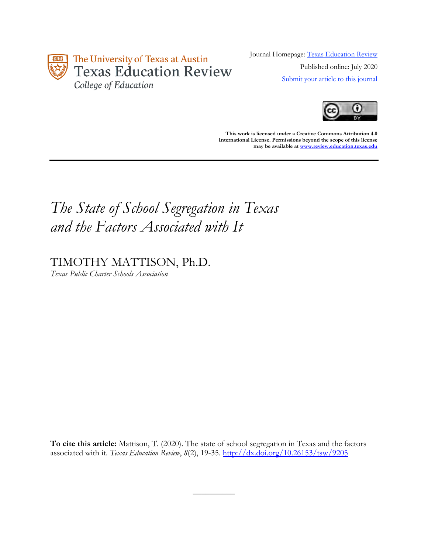

Journal Homepage: [Texas Education Review](https://review.education.utexas.edu/) Published online: July 2020 [Submit your article to this journal](https://review.education.utexas.edu/guidelines/)



**This work is licensed under a Creative Commons Attribution 4.0 International License. Permissions beyond the scope of this license may be available a[t www.review.education.texas.edu](http://www.review.education.texas.edu/)**

# *The State of School Segregation in Texas and the Factors Associated with It*

## TIMOTHY MATTISON, Ph.D.

*Texas Public Charter Schools Association*

**To cite this article:** Mattison, T. (2020). The state of school segregation in Texas and the factors associated with it. *Texas Education Review*, *8*(2), 19-35.<http://dx.doi.org/10.26153/tsw/9205>

 $\overline{\phantom{a}}$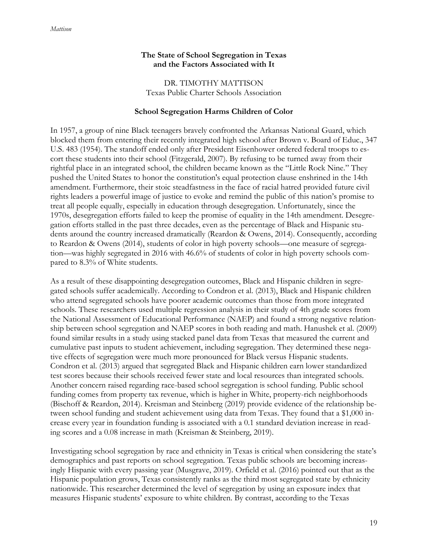## **The State of School Segregation in Texas and the Factors Associated with It**

DR. TIMOTHY MATTISON Texas Public Charter Schools Association

## **School Segregation Harms Children of Color**

In 1957, a group of nine Black teenagers bravely confronted the Arkansas National Guard, which blocked them from entering their recently integrated high school after Brown v. Board of Educ., 347 U.S. 483 (1954). The standoff ended only after President Eisenhower ordered federal troops to escort these students into their school (Fitzgerald, 2007). By refusing to be turned away from their rightful place in an integrated school, the children became known as the "Little Rock Nine." They pushed the United States to honor the constitution's equal protection clause enshrined in the 14th amendment. Furthermore, their stoic steadfastness in the face of racial hatred provided future civil rights leaders a powerful image of justice to evoke and remind the public of this nation's promise to treat all people equally, especially in education through desegregation. Unfortunately, since the 1970s, desegregation efforts failed to keep the promise of equality in the 14th amendment. Desegregation efforts stalled in the past three decades, even as the percentage of Black and Hispanic students around the country increased dramatically (Reardon & Owens, 2014). Consequently, according to Reardon & Owens (2014), students of color in high poverty schools—one measure of segregation—was highly segregated in 2016 with 46.6% of students of color in high poverty schools compared to 8.3% of White students.

As a result of these disappointing desegregation outcomes, Black and Hispanic children in segregated schools suffer academically. According to Condron et al. (2013), Black and Hispanic children who attend segregated schools have poorer academic outcomes than those from more integrated schools. These researchers used multiple regression analysis in their study of 4th grade scores from the National Assessment of Educational Performance (NAEP) and found a strong negative relationship between school segregation and NAEP scores in both reading and math. Hanushek et al. (2009) found similar results in a study using stacked panel data from Texas that measured the current and cumulative past inputs to student achievement, including segregation. They determined these negative effects of segregation were much more pronounced for Black versus Hispanic students. Condron et al. (2013) argued that segregated Black and Hispanic children earn lower standardized test scores because their schools received fewer state and local resources than integrated schools. Another concern raised regarding race-based school segregation is school funding. Public school funding comes from property tax revenue, which is higher in White, property-rich neighborhoods (Bischoff & Reardon, 2014). Kreisman and Steinberg (2019) provide evidence of the relationship between school funding and student achievement using data from Texas. They found that a \$1,000 increase every year in foundation funding is associated with a 0.1 standard deviation increase in reading scores and a 0.08 increase in math (Kreisman & Steinberg, 2019).

Investigating school segregation by race and ethnicity in Texas is critical when considering the state's demographics and past reports on school segregation. Texas public schools are becoming increasingly Hispanic with every passing year (Musgrave, 2019). Orfield et al. (2016) pointed out that as the Hispanic population grows, Texas consistently ranks as the third most segregated state by ethnicity nationwide. This researcher determined the level of segregation by using an exposure index that measures Hispanic students' exposure to white children. By contrast, according to the Texas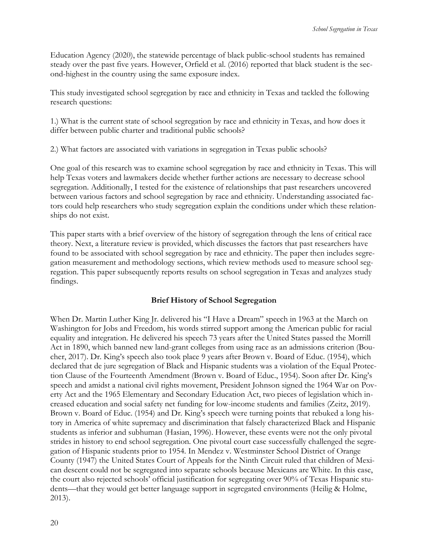Education Agency (2020), the statewide percentage of black public-school students has remained steady over the past five years. However, Orfield et al. (2016) reported that black student is the second-highest in the country using the same exposure index.

This study investigated school segregation by race and ethnicity in Texas and tackled the following research questions:

1.) What is the current state of school segregation by race and ethnicity in Texas, and how does it differ between public charter and traditional public schools?

2.) What factors are associated with variations in segregation in Texas public schools?

One goal of this research was to examine school segregation by race and ethnicity in Texas. This will help Texas voters and lawmakers decide whether further actions are necessary to decrease school segregation. Additionally, I tested for the existence of relationships that past researchers uncovered between various factors and school segregation by race and ethnicity. Understanding associated factors could help researchers who study segregation explain the conditions under which these relationships do not exist.

This paper starts with a brief overview of the history of segregation through the lens of critical race theory. Next, a literature review is provided, which discusses the factors that past researchers have found to be associated with school segregation by race and ethnicity. The paper then includes segregation measurement and methodology sections, which review methods used to measure school segregation. This paper subsequently reports results on school segregation in Texas and analyzes study findings.

## **Brief History of School Segregation**

When Dr. Martin Luther King Jr. delivered his "I Have a Dream" speech in 1963 at the March on Washington for Jobs and Freedom, his words stirred support among the American public for racial equality and integration. He delivered his speech 73 years after the United States passed the Morrill Act in 1890, which banned new land-grant colleges from using race as an admissions criterion (Boucher, 2017). Dr. King's speech also took place 9 years after Brown v. Board of Educ. (1954), which declared that de jure segregation of Black and Hispanic students was a violation of the Equal Protection Clause of the Fourteenth Amendment (Brown v. Board of Educ., 1954). Soon after Dr. King's speech and amidst a national civil rights movement, President Johnson signed the 1964 War on Poverty Act and the 1965 Elementary and Secondary Education Act, two pieces of legislation which increased education and social safety net funding for low-income students and families (Zeitz, 2019). Brown v. Board of Educ. (1954) and Dr. King's speech were turning points that rebuked a long history in America of white supremacy and discrimination that falsely characterized Black and Hispanic students as inferior and subhuman (Hasian, 1996). However, these events were not the only pivotal strides in history to end school segregation. One pivotal court case successfully challenged the segregation of Hispanic students prior to 1954. In Mendez v. Westminster School District of Orange County (1947) the United States Court of Appeals for the Ninth Circuit ruled that children of Mexican descent could not be segregated into separate schools because Mexicans are White. In this case, the court also rejected schools' official justification for segregating over 90% of Texas Hispanic students—that they would get better language support in segregated environments (Heilig & Holme, 2013).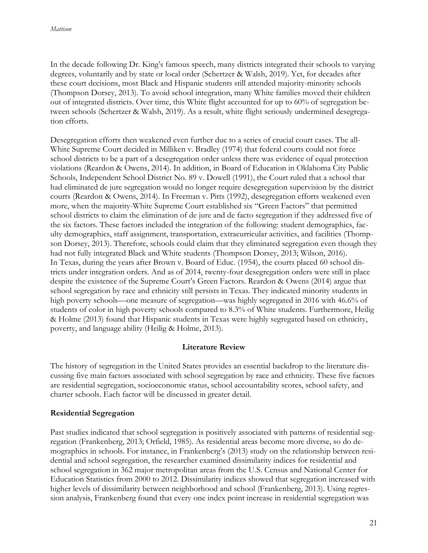In the decade following Dr. King's famous speech, many districts integrated their schools to varying degrees, voluntarily and by state or local order (Schertzer & Walsh, 2019). Yet, for decades after these court decisions, most Black and Hispanic students still attended majority-minority schools (Thompson Dorsey, 2013). To avoid school integration, many White families moved their children out of integrated districts. Over time, this White flight accounted for up to 60% of segregation between schools (Schertzer & Walsh, 2019). As a result, white flight seriously undermined desegregation efforts.

Desegregation efforts then weakened even further due to a series of crucial court cases. The all-White Supreme Court decided in Milliken v. Bradley (1974) that federal courts could not force school districts to be a part of a desegregation order unless there was evidence of equal protection violations (Reardon & Owens, 2014). In addition, in Board of Education in Oklahoma City Public Schools, Independent School District No. 89 v. Dowell (1991), the Court ruled that a school that had eliminated de jure segregation would no longer require desegregation supervision by the district courts (Reardon & Owens, 2014). In Freeman v. Pitts (1992), desegregation efforts weakened even more, when the majority-White Supreme Court established six "Green Factors" that permitted school districts to claim the elimination of de jure and de facto segregation if they addressed five of the six factors. These factors included the integration of the following: student demographics, faculty demographics, staff assignment, transportation, extracurricular activities, and facilities (Thompson Dorsey, 2013). Therefore, schools could claim that they eliminated segregation even though they had not fully integrated Black and White students (Thompson Dorsey, 2013; Wilson, 2016). In Texas, during the years after Brown v. Board of Educ. (1954), the courts placed 60 school districts under integration orders. And as of 2014, twenty-four desegregation orders were still in place despite the existence of the Supreme Court's Green Factors. Reardon & Owens (2014) argue that school segregation by race and ethnicity still persists in Texas. They indicated minority students in high poverty schools—one measure of segregation—was highly segregated in 2016 with 46.6% of students of color in high poverty schools compared to 8.3% of White students. Furthermore, Heilig & Holme (2013) found that Hispanic students in Texas were highly segregated based on ethnicity, poverty, and language ability (Heilig & Holme, 2013).

#### **Literature Review**

The history of segregation in the United States provides an essential backdrop to the literature discussing five main factors associated with school segregation by race and ethnicity. These five factors are residential segregation, socioeconomic status, school accountability scores, school safety, and charter schools. Each factor will be discussed in greater detail.

## **Residential Segregation**

Past studies indicated that school segregation is positively associated with patterns of residential segregation (Frankenberg, 2013; Orfield, 1985). As residential areas become more diverse, so do demographics in schools. For instance, in Frankenberg's (2013) study on the relationship between residential and school segregation, the researcher examined dissimilarity indices for residential and school segregation in 362 major metropolitan areas from the U.S. Census and National Center for Education Statistics from 2000 to 2012. Dissimilarity indices showed that segregation increased with higher levels of dissimilarity between neighborhood and school (Frankenberg, 2013). Using regression analysis, Frankenberg found that every one index point increase in residential segregation was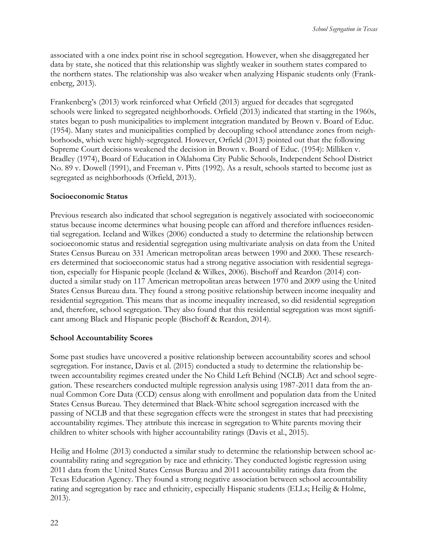associated with a one index point rise in school segregation. However, when she disaggregated her data by state, she noticed that this relationship was slightly weaker in southern states compared to the northern states. The relationship was also weaker when analyzing Hispanic students only (Frankenberg, 2013).

Frankenberg's (2013) work reinforced what Orfield (2013) argued for decades that segregated schools were linked to segregated neighborhoods. Orfield (2013) indicated that starting in the 1960s, states began to push municipalities to implement integration mandated by Brown v. Board of Educ. (1954). Many states and municipalities complied by decoupling school attendance zones from neighborhoods, which were highly-segregated. However, Orfield (2013) pointed out that the following Supreme Court decisions weakened the decision in Brown v. Board of Educ. (1954): Milliken v. Bradley (1974), Board of Education in Oklahoma City Public Schools, Independent School District No. 89 v. Dowell (1991), and Freeman v. Pitts (1992). As a result, schools started to become just as segregated as neighborhoods (Orfield, 2013).

## **Socioeconomic Status**

Previous research also indicated that school segregation is negatively associated with socioeconomic status because income determines what housing people can afford and therefore influences residential segregation. Iceland and Wilkes (2006) conducted a study to determine the relationship between socioeconomic status and residential segregation using multivariate analysis on data from the United States Census Bureau on 331 American metropolitan areas between 1990 and 2000. These researchers determined that socioeconomic status had a strong negative association with residential segregation, especially for Hispanic people (Iceland & Wilkes, 2006). Bischoff and Reardon (2014) conducted a similar study on 117 American metropolitan areas between 1970 and 2009 using the United States Census Bureau data. They found a strong positive relationship between income inequality and residential segregation. This means that as income inequality increased, so did residential segregation and, therefore, school segregation. They also found that this residential segregation was most significant among Black and Hispanic people (Bischoff & Reardon, 2014).

## **School Accountability Scores**

Some past studies have uncovered a positive relationship between accountability scores and school segregation. For instance, Davis et al. (2015) conducted a study to determine the relationship between accountability regimes created under the No Child Left Behind (NCLB) Act and school segregation. These researchers conducted multiple regression analysis using 1987-2011 data from the annual Common Core Data (CCD) census along with enrollment and population data from the United States Census Bureau. They determined that Black-White school segregation increased with the passing of NCLB and that these segregation effects were the strongest in states that had preexisting accountability regimes. They attribute this increase in segregation to White parents moving their children to whiter schools with higher accountability ratings (Davis et al., 2015).

Heilig and Holme (2013) conducted a similar study to determine the relationship between school accountability rating and segregation by race and ethnicity. They conducted logistic regression using 2011 data from the United States Census Bureau and 2011 accountability ratings data from the Texas Education Agency. They found a strong negative association between school accountability rating and segregation by race and ethnicity, especially Hispanic students (ELLs; Heilig & Holme, 2013).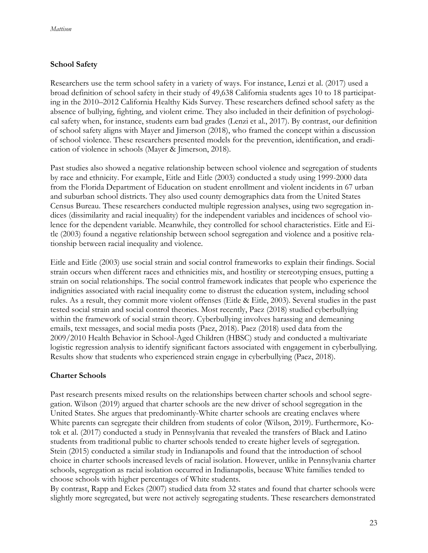## **School Safety**

Researchers use the term school safety in a variety of ways. For instance, Lenzi et al. (2017) used a broad definition of school safety in their study of 49,638 California students ages 10 to 18 participating in the 2010–2012 California Healthy Kids Survey. These researchers defined school safety as the absence of bullying, fighting, and violent crime. They also included in their definition of psychological safety when, for instance, students earn bad grades (Lenzi et al., 2017). By contrast, our definition of school safety aligns with Mayer and Jimerson (2018), who framed the concept within a discussion of school violence. These researchers presented models for the prevention, identification, and eradication of violence in schools (Mayer & Jimerson, 2018).

Past studies also showed a negative relationship between school violence and segregation of students by race and ethnicity. For example, Eitle and Eitle (2003) conducted a study using 1999-2000 data from the Florida Department of Education on student enrollment and violent incidents in 67 urban and suburban school districts. They also used county demographics data from the United States Census Bureau. These researchers conducted multiple regression analyses, using two segregation indices (dissimilarity and racial inequality) for the independent variables and incidences of school violence for the dependent variable. Meanwhile, they controlled for school characteristics. Eitle and Eitle (2003) found a negative relationship between school segregation and violence and a positive relationship between racial inequality and violence.

Eitle and Eitle (2003) use social strain and social control frameworks to explain their findings. Social strain occurs when different races and ethnicities mix, and hostility or stereotyping ensues, putting a strain on social relationships. The social control framework indicates that people who experience the indignities associated with racial inequality come to distrust the education system, including school rules. As a result, they commit more violent offenses (Eitle & Eitle, 2003). Several studies in the past tested social strain and social control theories. Most recently, Paez (2018) studied cyberbullying within the framework of social strain theory. Cyberbullying involves harassing and demeaning emails, text messages, and social media posts (Paez, 2018). Paez (2018) used data from the 2009/2010 Health Behavior in School-Aged Children (HBSC) study and conducted a multivariate logistic regression analysis to identify significant factors associated with engagement in cyberbullying. Results show that students who experienced strain engage in cyberbullying (Paez, 2018).

## **Charter Schools**

Past research presents mixed results on the relationships between charter schools and school segregation. Wilson (2019) argued that charter schools are the new driver of school segregation in the United States. She argues that predominantly-White charter schools are creating enclaves where White parents can segregate their children from students of color (Wilson, 2019). Furthermore, Kotok et al. (2017) conducted a study in Pennsylvania that revealed the transfers of Black and Latino students from traditional public to charter schools tended to create higher levels of segregation. Stein (2015) conducted a similar study in Indianapolis and found that the introduction of school choice in charter schools increased levels of racial isolation. However, unlike in Pennsylvania charter schools, segregation as racial isolation occurred in Indianapolis, because White families tended to choose schools with higher percentages of White students.

By contrast, Rapp and Eckes (2007) studied data from 32 states and found that charter schools were slightly more segregated, but were not actively segregating students. These researchers demonstrated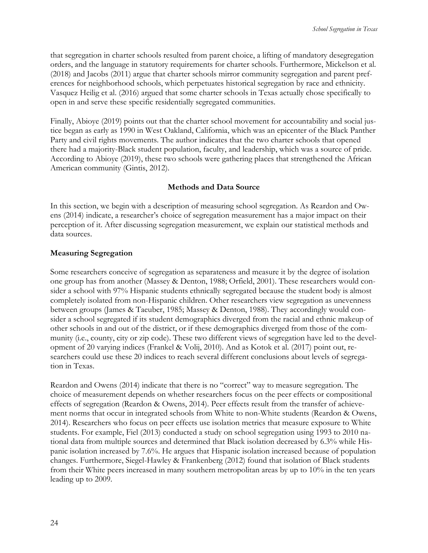that segregation in charter schools resulted from parent choice, a lifting of mandatory desegregation orders, and the language in statutory requirements for charter schools. Furthermore, Mickelson et al. (2018) and Jacobs (2011) argue that charter schools mirror community segregation and parent preferences for neighborhood schools, which perpetuates historical segregation by race and ethnicity. Vasquez Heilig et al. (2016) argued that some charter schools in Texas actually chose specifically to open in and serve these specific residentially segregated communities.

Finally, Abioye (2019) points out that the charter school movement for accountability and social justice began as early as 1990 in West Oakland, California, which was an epicenter of the Black Panther Party and civil rights movements. The author indicates that the two charter schools that opened there had a majority-Black student population, faculty, and leadership, which was a source of pride. According to Abioye (2019), these two schools were gathering places that strengthened the African American community (Gintis, 2012).

#### **Methods and Data Source**

In this section, we begin with a description of measuring school segregation. As Reardon and Owens (2014) indicate, a researcher's choice of segregation measurement has a major impact on their perception of it. After discussing segregation measurement, we explain our statistical methods and data sources.

#### **Measuring Segregation**

Some researchers conceive of segregation as separateness and measure it by the degree of isolation one group has from another (Massey & Denton, 1988; Orfield, 2001). These researchers would consider a school with 97% Hispanic students ethnically segregated because the student body is almost completely isolated from non-Hispanic children. Other researchers view segregation as unevenness between groups (James & Taeuber, 1985; Massey & Denton, 1988). They accordingly would consider a school segregated if its student demographics diverged from the racial and ethnic makeup of other schools in and out of the district, or if these demographics diverged from those of the community (i.e., county, city or zip code). These two different views of segregation have led to the development of 20 varying indices (Frankel & Volij, 2010). And as Kotok et al. (2017) point out, researchers could use these 20 indices to reach several different conclusions about levels of segregation in Texas.

Reardon and Owens (2014) indicate that there is no "correct" way to measure segregation. The choice of measurement depends on whether researchers focus on the peer effects or compositional effects of segregation (Reardon & Owens, 2014). Peer effects result from the transfer of achievement norms that occur in integrated schools from White to non-White students (Reardon & Owens, 2014). Researchers who focus on peer effects use isolation metrics that measure exposure to White students. For example, Fiel (2013) conducted a study on school segregation using 1993 to 2010 national data from multiple sources and determined that Black isolation decreased by 6.3% while Hispanic isolation increased by 7.6%. He argues that Hispanic isolation increased because of population changes. Furthermore, Siegel-Hawley & Frankenberg (2012) found that isolation of Black students from their White peers increased in many southern metropolitan areas by up to 10% in the ten years leading up to 2009.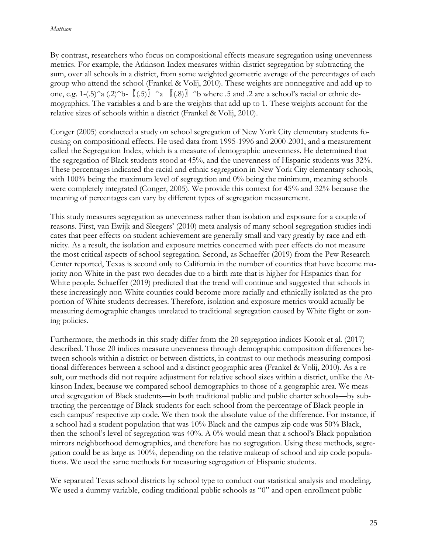By contrast, researchers who focus on compositional effects measure segregation using unevenness metrics. For example, the Atkinson Index measures within-district segregation by subtracting the sum, over all schools in a district, from some weighted geometric average of the percentages of each group who attend the school (Frankel & Volij, 2010). These weights are nonnegative and add up to one, e.g. 1-(.5)^a (.2)^b-  $\lbrack$  (.5)  $\rbrack$  ^a  $\lbrack$  (.8)  $\rbrack$  ^b where .5 and .2 are a school's racial or ethnic demographics. The variables a and b are the weights that add up to 1. These weights account for the relative sizes of schools within a district (Frankel & Volij, 2010).

Conger (2005) conducted a study on school segregation of New York City elementary students focusing on compositional effects. He used data from 1995-1996 and 2000-2001, and a measurement called the Segregation Index, which is a measure of demographic unevenness. He determined that the segregation of Black students stood at 45%, and the unevenness of Hispanic students was 32%. These percentages indicated the racial and ethnic segregation in New York City elementary schools, with 100% being the maximum level of segregation and 0% being the minimum, meaning schools were completely integrated (Conger, 2005). We provide this context for 45% and 32% because the meaning of percentages can vary by different types of segregation measurement.

This study measures segregation as unevenness rather than isolation and exposure for a couple of reasons. First, van Ewijk and Sleegers' (2010) meta analysis of many school segregation studies indicates that peer effects on student achievement are generally small and vary greatly by race and ethnicity. As a result, the isolation and exposure metrics concerned with peer effects do not measure the most critical aspects of school segregation. Second, as Schaeffer (2019) from the Pew Research Center reported, Texas is second only to California in the number of counties that have become majority non-White in the past two decades due to a birth rate that is higher for Hispanics than for White people. Schaeffer (2019) predicted that the trend will continue and suggested that schools in these increasingly non-White counties could become more racially and ethnically isolated as the proportion of White students decreases. Therefore, isolation and exposure metrics would actually be measuring demographic changes unrelated to traditional segregation caused by White flight or zoning policies.

Furthermore, the methods in this study differ from the 20 segregation indices Kotok et al. (2017) described. Those 20 indices measure unevenness through demographic composition differences between schools within a district or between districts, in contrast to our methods measuring compositional differences between a school and a distinct geographic area (Frankel & Volij, 2010). As a result, our methods did not require adjustment for relative school sizes within a district, unlike the Atkinson Index, because we compared school demographics to those of a geographic area. We measured segregation of Black students—in both traditional public and public charter schools—by subtracting the percentage of Black students for each school from the percentage of Black people in each campus' respective zip code. We then took the absolute value of the difference. For instance, if a school had a student population that was 10% Black and the campus zip code was 50% Black, then the school's level of segregation was 40%. A 0% would mean that a school's Black population mirrors neighborhood demographics, and therefore has no segregation. Using these methods, segregation could be as large as 100%, depending on the relative makeup of school and zip code populations. We used the same methods for measuring segregation of Hispanic students.

We separated Texas school districts by school type to conduct our statistical analysis and modeling. We used a dummy variable, coding traditional public schools as "0" and open-enrollment public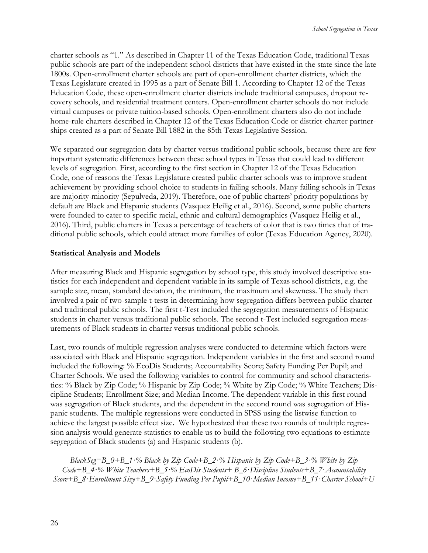charter schools as "1." As described in Chapter 11 of the Texas Education Code, traditional Texas public schools are part of the independent school districts that have existed in the state since the late 1800s. Open-enrollment charter schools are part of open-enrollment charter districts, which the Texas Legislature created in 1995 as a part of Senate Bill 1. According to Chapter 12 of the Texas Education Code, these open-enrollment charter districts include traditional campuses, dropout recovery schools, and residential treatment centers. Open-enrollment charter schools do not include virtual campuses or private tuition-based schools. Open-enrollment charters also do not include home-rule charters described in Chapter 12 of the Texas Education Code or district-charter partnerships created as a part of Senate Bill 1882 in the 85th Texas Legislative Session.

We separated our segregation data by charter versus traditional public schools, because there are few important systematic differences between these school types in Texas that could lead to different levels of segregation. First, according to the first section in Chapter 12 of the Texas Education Code, one of reasons the Texas Legislature created public charter schools was to improve student achievement by providing school choice to students in failing schools. Many failing schools in Texas are majority-minority (Sepulveda, 2019). Therefore, one of public charters' priority populations by default are Black and Hispanic students (Vasquez Heilig et al., 2016). Second, some public charters were founded to cater to specific racial, ethnic and cultural demographics (Vasquez Heilig et al., 2016). Third, public charters in Texas a percentage of teachers of color that is two times that of traditional public schools, which could attract more families of color (Texas Education Agency, 2020).

## **Statistical Analysis and Models**

After measuring Black and Hispanic segregation by school type, this study involved descriptive statistics for each independent and dependent variable in its sample of Texas school districts, e.g. the sample size, mean, standard deviation, the minimum, the maximum and skewness. The study then involved a pair of two-sample t-tests in determining how segregation differs between public charter and traditional public schools. The first t-Test included the segregation measurements of Hispanic students in charter versus traditional public schools. The second t-Test included segregation measurements of Black students in charter versus traditional public schools.

Last, two rounds of multiple regression analyses were conducted to determine which factors were associated with Black and Hispanic segregation. Independent variables in the first and second round included the following: % EcoDis Students; Accountability Score; Safety Funding Per Pupil; and Charter Schools. We used the following variables to control for community and school characteristics: % Black by Zip Code; % Hispanic by Zip Code; % White by Zip Code; % White Teachers; Discipline Students; Enrollment Size; and Median Income. The dependent variable in this first round was segregation of Black students, and the dependent in the second round was segregation of Hispanic students. The multiple regressions were conducted in SPSS using the listwise function to achieve the largest possible effect size. We hypothesized that these two rounds of multiple regression analysis would generate statistics to enable us to build the following two equations to estimate segregation of Black students (a) and Hispanic students (b).

*BlackSeg=B\_0+B\_1∙% Black by Zip Code+B\_2∙% Hispanic by Zip Code+B\_3∙% White by Zip Code+B\_4∙% White Teachers+B\_5∙% EcoDis Students+ B\_6∙Discipline Students+B\_7∙Accountability Score+B\_8∙Enrollment Size+B\_9∙Safety Funding Per Pupil+B\_10∙Median Income+B\_11∙Charter School+U*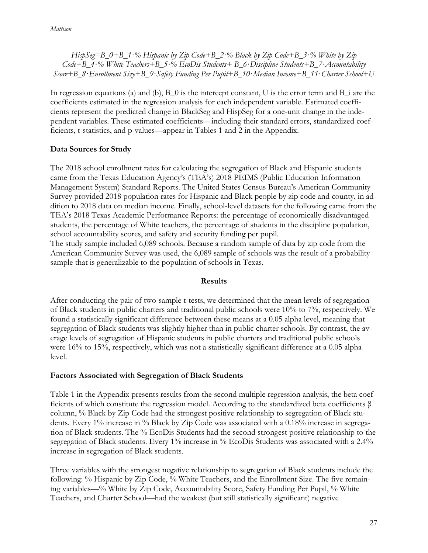*HispSeg=B\_0+B\_1∙% Hispanic by Zip Code+B\_2∙% Black by Zip Code+B\_3∙% White by Zip Code+B\_4∙% White Teachers+B\_5∙% EcoDis Students+ B\_6∙Discipline Students+B\_7∙Accountability Score+B\_8∙Enrollment Size+B\_9∙Safety Funding Per Pupil+B\_10∙Median Income+B\_11∙Charter School+U*

In regression equations (a) and (b),  $B_0$  is the intercept constant, U is the error term and  $B_1$  are the coefficients estimated in the regression analysis for each independent variable. Estimated coefficients represent the predicted change in BlackSeg and HispSeg for a one-unit change in the independent variables. These estimated coefficients—including their standard errors, standardized coefficients, t-statistics, and p-values—appear in Tables 1 and 2 in the Appendix.

## **Data Sources for Study**

The 2018 school enrollment rates for calculating the segregation of Black and Hispanic students came from the Texas Education Agency's (TEA's) 2018 PEIMS (Public Education Information Management System) Standard Reports. The United States Census Bureau's American Community Survey provided 2018 population rates for Hispanic and Black people by zip code and county, in addition to 2018 data on median income. Finally, school-level datasets for the following came from the TEA's 2018 Texas Academic Performance Reports: the percentage of economically disadvantaged students, the percentage of White teachers, the percentage of students in the discipline population, school accountability scores, and safety and security funding per pupil.

The study sample included 6,089 schools. Because a random sample of data by zip code from the American Community Survey was used, the 6,089 sample of schools was the result of a probability sample that is generalizable to the population of schools in Texas.

## **Results**

After conducting the pair of two-sample t-tests, we determined that the mean levels of segregation of Black students in public charters and traditional public schools were 10% to 7%, respectively. We found a statistically significant difference between these means at a 0.05 alpha level, meaning that segregation of Black students was slightly higher than in public charter schools. By contrast, the average levels of segregation of Hispanic students in public charters and traditional public schools were 16% to 15%, respectively, which was not a statistically significant difference at a 0.05 alpha level.

## **Factors Associated with Segregation of Black Students**

Table 1 in the Appendix presents results from the second multiple regression analysis, the beta coefficients of which constitute the regression model. According to the standardized beta coefficients β column, % Black by Zip Code had the strongest positive relationship to segregation of Black students. Every 1% increase in % Black by Zip Code was associated with a 0.18% increase in segregation of Black students. The % EcoDis Students had the second strongest positive relationship to the segregation of Black students. Every 1% increase in % EcoDis Students was associated with a 2.4% increase in segregation of Black students.

Three variables with the strongest negative relationship to segregation of Black students include the following: % Hispanic by Zip Code, % White Teachers, and the Enrollment Size. The five remaining variables—% White by Zip Code, Accountability Score, Safety Funding Per Pupil, % White Teachers, and Charter School—had the weakest (but still statistically significant) negative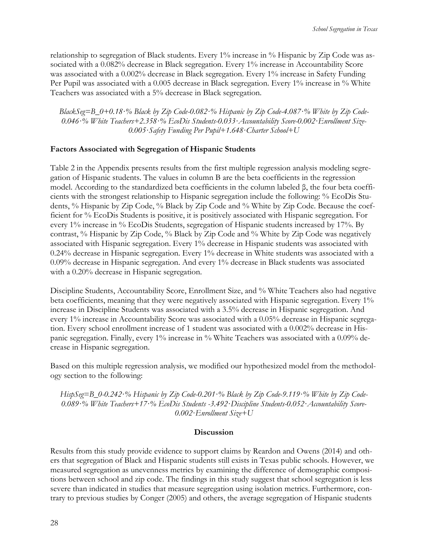relationship to segregation of Black students. Every 1% increase in % Hispanic by Zip Code was associated with a 0.082% decrease in Black segregation. Every 1% increase in Accountability Score was associated with a 0.002% decrease in Black segregation. Every 1% increase in Safety Funding Per Pupil was associated with a 0.005 decrease in Black segregation. Every 1% increase in % White Teachers was associated with a 5% decrease in Black segregation.

*BlackSeg=B\_0+0.18∙% Black by Zip Code-0.082∙% Hispanic by Zip Code-4.087∙% White by Zip Code-0.046∙% White Teachers+2.358∙% EcoDis Students-0.033∙Accountability Score-0.002∙Enrollment Size-0.005∙Safety Funding Per Pupil+1.648∙Charter School+U*

## **Factors Associated with Segregation of Hispanic Students**

Table 2 in the Appendix presents results from the first multiple regression analysis modeling segregation of Hispanic students. The values in column B are the beta coefficients in the regression model. According to the standardized beta coefficients in the column labeled β, the four beta coefficients with the strongest relationship to Hispanic segregation include the following: % EcoDis Students, % Hispanic by Zip Code, % Black by Zip Code and % White by Zip Code. Because the coefficient for % EcoDis Students is positive, it is positively associated with Hispanic segregation. For every 1% increase in % EcoDis Students, segregation of Hispanic students increased by 17%. By contrast, % Hispanic by Zip Code, % Black by Zip Code and % White by Zip Code was negatively associated with Hispanic segregation. Every 1% decrease in Hispanic students was associated with 0.24% decrease in Hispanic segregation. Every 1% decrease in White students was associated with a 0.09% decrease in Hispanic segregation. And every 1% decrease in Black students was associated with a 0.20% decrease in Hispanic segregation.

Discipline Students, Accountability Score, Enrollment Size, and % White Teachers also had negative beta coefficients, meaning that they were negatively associated with Hispanic segregation. Every 1% increase in Discipline Students was associated with a 3.5% decrease in Hispanic segregation. And every 1% increase in Accountability Score was associated with a 0.05% decrease in Hispanic segregation. Every school enrollment increase of 1 student was associated with a 0.002% decrease in Hispanic segregation. Finally, every 1% increase in % White Teachers was associated with a 0.09% decrease in Hispanic segregation.

Based on this multiple regression analysis, we modified our hypothesized model from the methodology section to the following:

*HispSeg=B\_0-0.242∙% Hispanic by Zip Code-0.201∙% Black by Zip Code-9.119∙% White by Zip Code-0.089∙% White Teachers+17∙% EcoDis Students -3.492∙Discipline Students-0.052∙Accountability Score-0.002∙Enrollment Size+U*

## **Discussion**

Results from this study provide evidence to support claims by Reardon and Owens (2014) and others that segregation of Black and Hispanic students still exists in Texas public schools. However, we measured segregation as unevenness metrics by examining the difference of demographic compositions between school and zip code. The findings in this study suggest that school segregation is less severe than indicated in studies that measure segregation using isolation metrics. Furthermore, contrary to previous studies by Conger (2005) and others, the average segregation of Hispanic students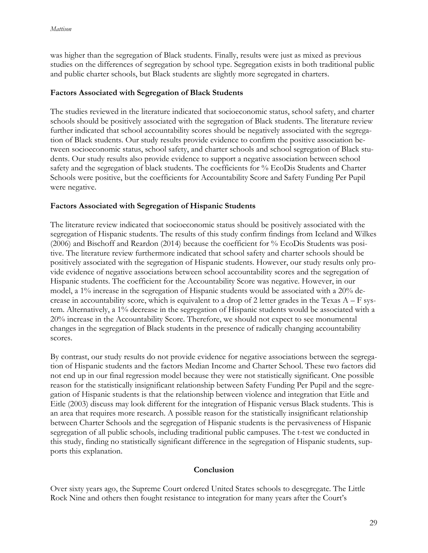was higher than the segregation of Black students. Finally, results were just as mixed as previous studies on the differences of segregation by school type. Segregation exists in both traditional public and public charter schools, but Black students are slightly more segregated in charters.

## **Factors Associated with Segregation of Black Students**

The studies reviewed in the literature indicated that socioeconomic status, school safety, and charter schools should be positively associated with the segregation of Black students. The literature review further indicated that school accountability scores should be negatively associated with the segregation of Black students. Our study results provide evidence to confirm the positive association between socioeconomic status, school safety, and charter schools and school segregation of Black students. Our study results also provide evidence to support a negative association between school safety and the segregation of black students. The coefficients for % EcoDis Students and Charter Schools were positive, but the coefficients for Accountability Score and Safety Funding Per Pupil were negative.

## **Factors Associated with Segregation of Hispanic Students**

The literature review indicated that socioeconomic status should be positively associated with the segregation of Hispanic students. The results of this study confirm findings from Iceland and Wilkes (2006) and Bischoff and Reardon (2014) because the coefficient for % EcoDis Students was positive. The literature review furthermore indicated that school safety and charter schools should be positively associated with the segregation of Hispanic students. However, our study results only provide evidence of negative associations between school accountability scores and the segregation of Hispanic students. The coefficient for the Accountability Score was negative. However, in our model, a 1% increase in the segregation of Hispanic students would be associated with a 20% decrease in accountability score, which is equivalent to a drop of 2 letter grades in the Texas  $A - F$  system. Alternatively, a 1% decrease in the segregation of Hispanic students would be associated with a 20% increase in the Accountability Score. Therefore, we should not expect to see monumental changes in the segregation of Black students in the presence of radically changing accountability scores.

By contrast, our study results do not provide evidence for negative associations between the segregation of Hispanic students and the factors Median Income and Charter School. These two factors did not end up in our final regression model because they were not statistically significant. One possible reason for the statistically insignificant relationship between Safety Funding Per Pupil and the segregation of Hispanic students is that the relationship between violence and integration that Eitle and Eitle (2003) discuss may look different for the integration of Hispanic versus Black students. This is an area that requires more research. A possible reason for the statistically insignificant relationship between Charter Schools and the segregation of Hispanic students is the pervasiveness of Hispanic segregation of all public schools, including traditional public campuses. The t-test we conducted in this study, finding no statistically significant difference in the segregation of Hispanic students, supports this explanation.

## **Conclusion**

Over sixty years ago, the Supreme Court ordered United States schools to desegregate. The Little Rock Nine and others then fought resistance to integration for many years after the Court's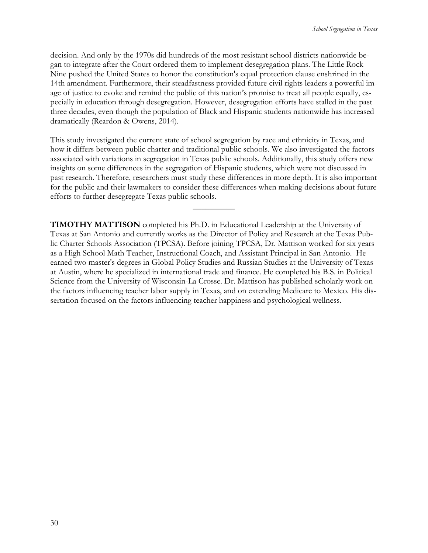decision. And only by the 1970s did hundreds of the most resistant school districts nationwide began to integrate after the Court ordered them to implement desegregation plans. The Little Rock Nine pushed the United States to honor the constitution's equal protection clause enshrined in the 14th amendment. Furthermore, their steadfastness provided future civil rights leaders a powerful image of justice to evoke and remind the public of this nation's promise to treat all people equally, especially in education through desegregation. However, desegregation efforts have stalled in the past three decades, even though the population of Black and Hispanic students nationwide has increased dramatically (Reardon & Owens, 2014).

This study investigated the current state of school segregation by race and ethnicity in Texas, and how it differs between public charter and traditional public schools. We also investigated the factors associated with variations in segregation in Texas public schools. Additionally, this study offers new insights on some differences in the segregation of Hispanic students, which were not discussed in past research. Therefore, researchers must study these differences in more depth. It is also important for the public and their lawmakers to consider these differences when making decisions about future efforts to further desegregate Texas public schools.

 $\overline{\phantom{a}}$ 

**TIMOTHY MATTISON** completed his Ph.D. in Educational Leadership at the University of Texas at San Antonio and currently works as the Director of Policy and Research at the Texas Public Charter Schools Association (TPCSA). Before joining TPCSA, Dr. Mattison worked for six years as a High School Math Teacher, Instructional Coach, and Assistant Principal in San Antonio. He earned two master's degrees in Global Policy Studies and Russian Studies at the University of Texas at Austin, where he specialized in international trade and finance. He completed his B.S. in Political Science from the University of Wisconsin-La Crosse. Dr. Mattison has published scholarly work on the factors influencing teacher labor supply in Texas, and on extending Medicare to Mexico. His dissertation focused on the factors influencing teacher happiness and psychological wellness.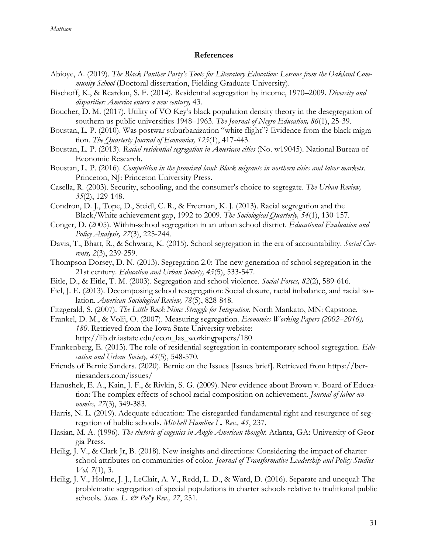#### **References**

- Abioye, A. (2019). *The Black Panther Party's Tools for Liberatory Education: Lessons from the Oakland Community School* (Doctoral dissertation, Fielding Graduate University).
- Bischoff, K., & Reardon, S. F. (2014). Residential segregation by income, 1970–2009. *Diversity and disparities: America enters a new century,* 43.
- Boucher, D. M. (2017). Utility of VO Key's black population density theory in the desegregation of southern us public universities 1948–1963. *The Journal of Negro Education, 86*(1), 25-39.
- Boustan, L. P. (2010). Was postwar suburbanization "white flight"? Evidence from the black migration. *The Quarterly Journal of Economics, 125*(1), 417-443.
- Boustan, L. P. (2013). *Racial residential segregation in American cities* (No. w19045). National Bureau of Economic Research.
- Boustan, L. P. (2016). *Competition in the promised land: Black migrants in northern cities and labor markets*. Princeton, NJ: Princeton University Press.
- Casella, R. (2003). Security, schooling, and the consumer's choice to segregate. *The Urban Review, 35*(2), 129-148.
- Condron, D. J., Tope, D., Steidl, C. R., & Freeman, K. J. (2013). Racial segregation and the Black/White achievement gap, 1992 to 2009. *The Sociological Quarterly, 54*(1), 130-157.
- Conger, D. (2005). Within-school segregation in an urban school district. *Educational Evaluation and Policy Analysis, 27*(3), 225-244.
- Davis, T., Bhatt, R., & Schwarz, K. (2015). School segregation in the era of accountability. *Social Currents, 2*(3), 239-259.
- Thompson Dorsey, D. N. (2013). Segregation 2.0: The new generation of school segregation in the 21st century. *Education and Urban Society, 45*(5), 533-547.
- Eitle, D., & Eitle, T. M. (2003). Segregation and school violence. *Social Forces, 82*(2), 589-616.
- Fiel, J. E. (2013). Decomposing school resegregation: Social closure, racial imbalance, and racial isolation. *American Sociological Review, 78*(5), 828-848.
- Fitzgerald, S. (2007). *The Little Rock Nine: Struggle for Integration*. North Mankato, MN: Capstone.
- Frankel, D. M., & Volij, O. (2007). Measuring segregation. *Economics Working Papers (2002–2016), 180*. Retrieved from the Iowa State University website: http://lib.dr.iastate.edu/econ\_las\_workingpapers/180
- Frankenberg, E. (2013). The role of residential segregation in contemporary school segregation. *Education and Urban Society, 45*(5), 548-570.
- Friends of Bernie Sanders. (2020). Bernie on the Issues [Issues brief]. Retrieved from https://berniesanders.com/issues/
- Hanushek, E. A., Kain, J. F., & Rivkin, S. G. (2009). New evidence about Brown v. Board of Education: The complex effects of school racial composition on achievement. *Journal of labor economics, 27*(3), 349-383.
- Harris, N. L. (2019). Adequate education: The eisregarded fundamental right and resurgence of segregation of bublic schools. *Mitchell Hamline L. Rev., 45*, 237.
- Hasian, M. A. (1996). *The rhetoric of eugenics in Anglo-American thought.* Atlanta, GA: University of Georgia Press.
- Heilig, J. V., & Clark Jr, B. (2018). New insights and directions: Considering the impact of charter school attributes on communities of color. *Journal of Transformative Leadership and Policy Studies-Vol, 7*(1), 3.
- Heilig, J. V., Holme, J. J., LeClair, A. V., Redd, L. D., & Ward, D. (2016). Separate and unequal: The problematic segregation of special populations in charter schools relative to traditional public schools. *Stan. L. & Pol'y Rev., 27*, 251.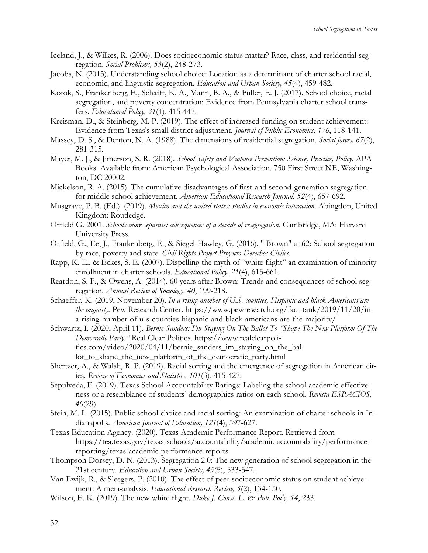- Iceland, J., & Wilkes, R. (2006). Does socioeconomic status matter? Race, class, and residential segregation. *Social Problems, 53*(2), 248-273.
- Jacobs, N. (2013). Understanding school choice: Location as a determinant of charter school racial, economic, and linguistic segregation. *Education and Urban Society, 45*(4), 459-482.
- Kotok, S., Frankenberg, E., Schafft, K. A., Mann, B. A., & Fuller, E. J. (2017). School choice, racial segregation, and poverty concentration: Evidence from Pennsylvania charter school transfers. *Educational Policy, 31*(4), 415-447.
- Kreisman, D., & Steinberg, M. P. (2019). The effect of increased funding on student achievement: Evidence from Texas's small district adjustment. *Journal of Public Economics, 176*, 118-141.
- Massey, D. S., & Denton, N. A. (1988). The dimensions of residential segregation. *Social forces, 67*(2), 281-315.
- Mayer, M. J., & Jimerson, S. R. (2018). *School Safety and Violence Prevention: Science, Practice, Policy.* APA Books. Available from: American Psychological Association. 750 First Street NE, Washington, DC 20002.
- Mickelson, R. A. (2015). The cumulative disadvantages of first-and second-generation segregation for middle school achievement. *American Educational Research Journal*, *52*(4), 657-692.
- Musgrave, P. B. (Ed.). (2019). *Mexico and the united states: studies in economic interaction*. Abingdon, United Kingdom: Routledge.
- Orfield G. 2001. *Schools more separate: consequences of a decade of resegregation*. Cambridge, MA: Harvard University Press.
- Orfield, G., Ee, J., Frankenberg, E., & Siegel-Hawley, G. (2016). " Brown" at 62: School segregation by race, poverty and state. *Civil Rights Project-Proyecto Derechos Civiles*.
- Rapp, K. E., & Eckes, S. E. (2007). Dispelling the myth of "white flight" an examination of minority enrollment in charter schools. *Educational Policy, 21*(4), 615-661.
- Reardon, S. F., & Owens, A. (2014). 60 years after Brown: Trends and consequences of school segregation. *Annual Review of Sociology, 40*, 199-218.
- Schaeffer, K. (2019, November 20). *In a rising number of U.S. counties, Hispanic and black Americans are the majority.* Pew Research Center. https://www.pewresearch.org/fact-tank/2019/11/20/ina-rising-number-of-u-s-counties-hispanic-and-black-americans-are-the-majority/
- Schwartz, I. (2020, April 11). *Bernie Sanders: I'm Staying On The Ballot To "Shape The New Platform Of The Democratic Party."* Real Clear Politics. https://www.realclearpolitics.com/video/2020/04/11/bernie\_sanders\_im\_staying\_on\_the\_ballot\_to\_shape\_the\_new\_platform\_of\_the\_democratic\_party.html
- Shertzer, A., & Walsh, R. P. (2019). Racial sorting and the emergence of segregation in American cities. *Review of Economics and Statistics, 101*(3), 415-427.
- Sepulveda, F. (2019). Texas School Accountability Ratings: Labeling the school academic effectiveness or a resemblance of students' demographics ratios on each school. *Revista ESPACIOS, 40*(29).
- Stein, M. L. (2015). Public school choice and racial sorting: An examination of charter schools in Indianapolis. *American Journal of Education, 121*(4), 597-627.
- Texas Education Agency. (2020). Texas Academic Performance Report. Retrieved from https://tea.texas.gov/texas-schools/accountability/academic-accountability/performancereporting/texas-academic-performance-reports
- Thompson Dorsey, D. N. (2013). Segregation 2.0: The new generation of school segregation in the 21st century. *Education and Urban Society, 45*(5), 533-547.
- Van Ewijk, R., & Sleegers, P. (2010). The effect of peer socioeconomic status on student achievement: A meta-analysis. *Educational Research Review, 5*(2), 134-150.
- Wilson, E. K. (2019). The new white flight. *Duke J. Const. L. & Pub. Pol'y, 14*, 233.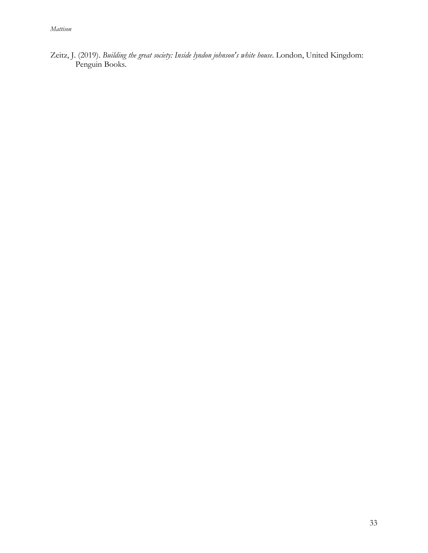Zeitz, J. (2019). *Building the great society: Inside lyndon johnson's white house*. London, United Kingdom: Penguin Books.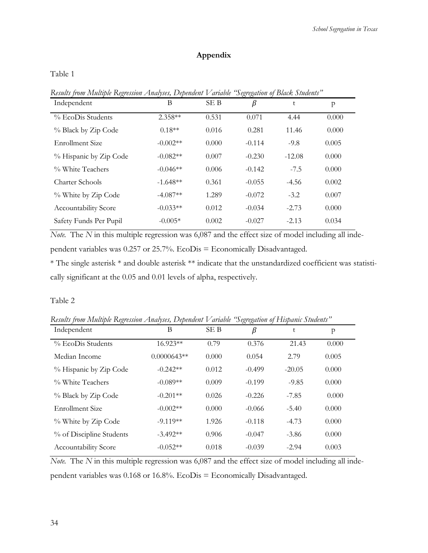## **Appendix**

Table 1

| Independent                 | B          | SE B  | U U<br>β | t        | p     |
|-----------------------------|------------|-------|----------|----------|-------|
| % EcoDis Students           | $2.358**$  | 0.531 | 0.071    | 4.44     | 0.000 |
| % Black by Zip Code         | $0.18**$   | 0.016 | 0.281    | 11.46    | 0.000 |
| Enrollment Size             | $-0.002**$ | 0.000 | $-0.114$ | $-9.8$   | 0.005 |
| % Hispanic by Zip Code      | $-0.082**$ | 0.007 | $-0.230$ | $-12.08$ | 0.000 |
| % White Teachers            | $-0.046**$ | 0.006 | $-0.142$ | $-7.5$   | 0.000 |
| Charter Schools             | $-1.648**$ | 0.361 | $-0.055$ | $-4.56$  | 0.002 |
| % White by Zip Code         | $-4.087**$ | 1.289 | $-0.072$ | $-3.2$   | 0.007 |
| <b>Accountability Score</b> | $-0.033**$ | 0.012 | $-0.034$ | $-2.73$  | 0.000 |
| Safety Funds Per Pupil      | $-0.005*$  | 0.002 | $-0.027$ | $-2.13$  | 0.034 |

*Results from Multiple Regression Analyses, Dependent Variable "Segregation of Black Students"*

*Note.* The *N* in this multiple regression was 6,087 and the effect size of model including all independent variables was 0.257 or 25.7%. EcoDis = Economically Disadvantaged.

\* The single asterisk \* and double asterisk \*\* indicate that the unstandardized coefficient was statistically significant at the 0.05 and 0.01 levels of alpha, respectively.

#### Table 2

*Results from Multiple Regression Analyses, Dependent Variable "Segregation of Hispanic Students"*

| Independent              | Β             | SE B  | ں ب<br>β | t        | p     |
|--------------------------|---------------|-------|----------|----------|-------|
| % EcoDis Students        | 16.923**      | 0.79  | 0.376    | 21.43    | 0.000 |
| Median Income            | $0.0000643**$ | 0.000 | 0.054    | 2.79     | 0.005 |
| % Hispanic by Zip Code   | $-0.242**$    | 0.012 | $-0.499$ | $-20.05$ | 0.000 |
| % White Teachers         | $-0.089**$    | 0.009 | $-0.199$ | $-9.85$  | 0.000 |
| % Black by Zip Code      | $-0.201**$    | 0.026 | $-0.226$ | $-7.85$  | 0.000 |
| <b>Enrollment Size</b>   | $-0.002**$    | 0.000 | $-0.066$ | $-5.40$  | 0.000 |
| % White by Zip Code      | $-9.119**$    | 1.926 | $-0.118$ | $-4.73$  | 0.000 |
| % of Discipline Students | $-3.492**$    | 0.906 | $-0.047$ | $-3.86$  | 0.000 |
| Accountability Score     | $-0.052**$    | 0.018 | $-0.039$ | $-2.94$  | 0.003 |

*Note.* The *N* in this multiple regression was 6,087 and the effect size of model including all independent variables was 0.168 or 16.8%. EcoDis = Economically Disadvantaged.